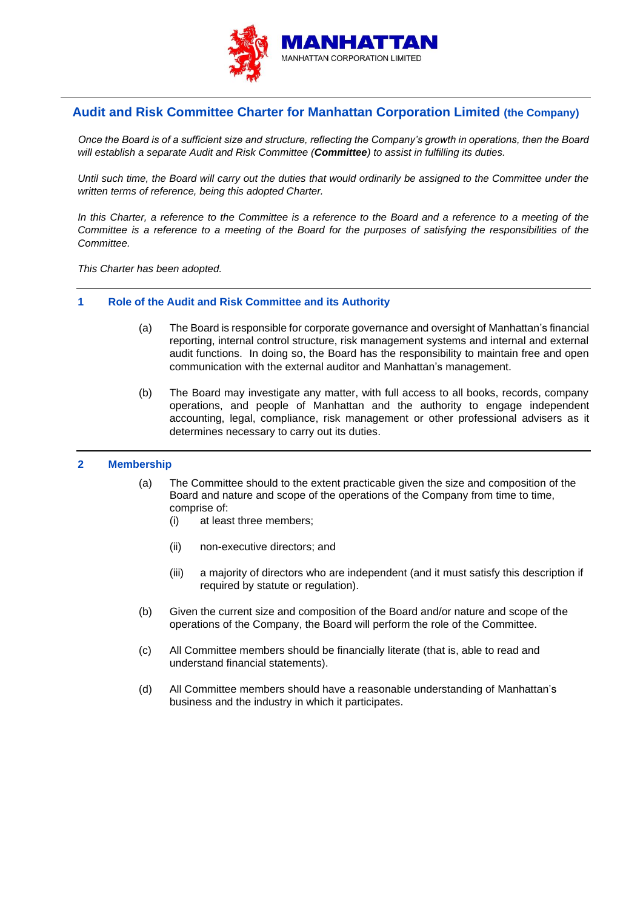

# **Audit and Risk Committee Charter for Manhattan Corporation Limited (the Company)**

*Once the Board is of a sufficient size and structure, reflecting the Company's growth in operations, then the Board will establish a separate Audit and Risk Committee (Committee) to assist in fulfilling its duties.*

*Until such time, the Board will carry out the duties that would ordinarily be assigned to the Committee under the written terms of reference, being this adopted Charter.*

*In this Charter, a reference to the Committee is a reference to the Board and a reference to a meeting of the Committee is a reference to a meeting of the Board for the purposes of satisfying the responsibilities of the Committee.*

*This Charter has been adopted.*

- **1 Role of the Audit and Risk Committee and its Authority**
	- (a) The Board is responsible for corporate governance and oversight of Manhattan's financial reporting, internal control structure, risk management systems and internal and external audit functions. In doing so, the Board has the responsibility to maintain free and open communication with the external auditor and Manhattan's management.
	- (b) The Board may investigate any matter, with full access to all books, records, company operations, and people of Manhattan and the authority to engage independent accounting, legal, compliance, risk management or other professional advisers as it determines necessary to carry out its duties.

## **2 Membership**

- (a) The Committee should to the extent practicable given the size and composition of the Board and nature and scope of the operations of the Company from time to time, comprise of:
	- (i) at least three members;
	- (ii) non-executive directors; and
	- (iii) a majority of directors who are independent (and it must satisfy this description if required by statute or regulation).
- (b) Given the current size and composition of the Board and/or nature and scope of the operations of the Company, the Board will perform the role of the Committee.
- (c) All Committee members should be financially literate (that is, able to read and understand financial statements).
- (d) All Committee members should have a reasonable understanding of Manhattan's business and the industry in which it participates.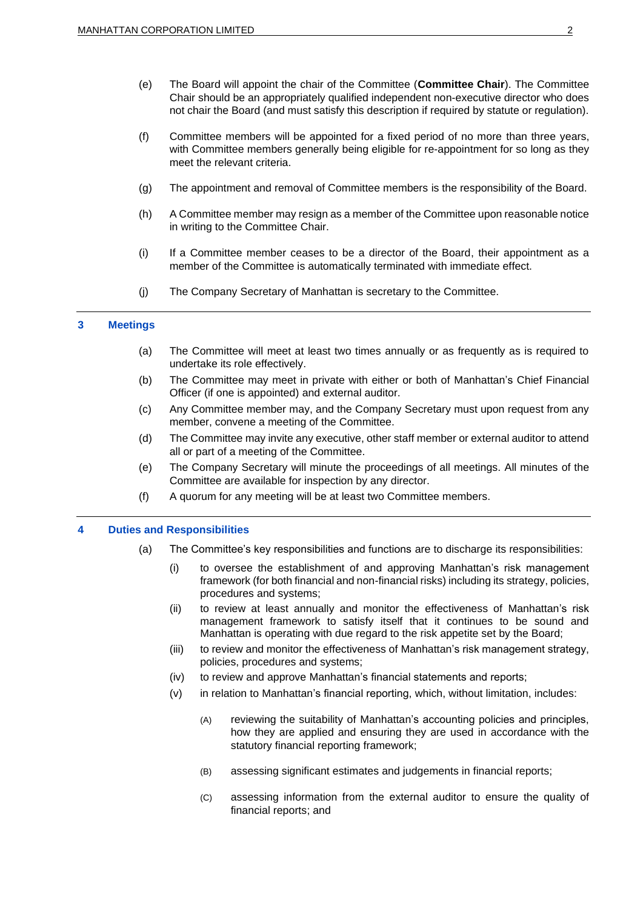- (e) The Board will appoint the chair of the Committee (**Committee Chair**). The Committee Chair should be an appropriately qualified independent non-executive director who does not chair the Board (and must satisfy this description if required by statute or regulation).
- (f) Committee members will be appointed for a fixed period of no more than three years, with Committee members generally being eligible for re-appointment for so long as they meet the relevant criteria.
- (g) The appointment and removal of Committee members is the responsibility of the Board.
- (h) A Committee member may resign as a member of the Committee upon reasonable notice in writing to the Committee Chair.
- (i) If a Committee member ceases to be a director of the Board, their appointment as a member of the Committee is automatically terminated with immediate effect.
- (j) The Company Secretary of Manhattan is secretary to the Committee.

#### **3 Meetings**

- (a) The Committee will meet at least two times annually or as frequently as is required to undertake its role effectively.
- (b) The Committee may meet in private with either or both of Manhattan's Chief Financial Officer (if one is appointed) and external auditor.
- (c) Any Committee member may, and the Company Secretary must upon request from any member, convene a meeting of the Committee.
- (d) The Committee may invite any executive, other staff member or external auditor to attend all or part of a meeting of the Committee.
- (e) The Company Secretary will minute the proceedings of all meetings. All minutes of the Committee are available for inspection by any director.
- (f) A quorum for any meeting will be at least two Committee members.

#### **4 Duties and Responsibilities**

- (a) The Committee's key responsibilities and functions are to discharge its responsibilities:
	- (i) to oversee the establishment of and approving Manhattan's risk management framework (for both financial and non-financial risks) including its strategy, policies, procedures and systems;
	- (ii) to review at least annually and monitor the effectiveness of Manhattan's risk management framework to satisfy itself that it continues to be sound and Manhattan is operating with due regard to the risk appetite set by the Board;
	- (iii) to review and monitor the effectiveness of Manhattan's risk management strategy, policies, procedures and systems;
	- (iv) to review and approve Manhattan's financial statements and reports;
	- (v) in relation to Manhattan's financial reporting, which, without limitation, includes:
		- (A) reviewing the suitability of Manhattan's accounting policies and principles, how they are applied and ensuring they are used in accordance with the statutory financial reporting framework;
		- (B) assessing significant estimates and judgements in financial reports;
		- (C) assessing information from the external auditor to ensure the quality of financial reports; and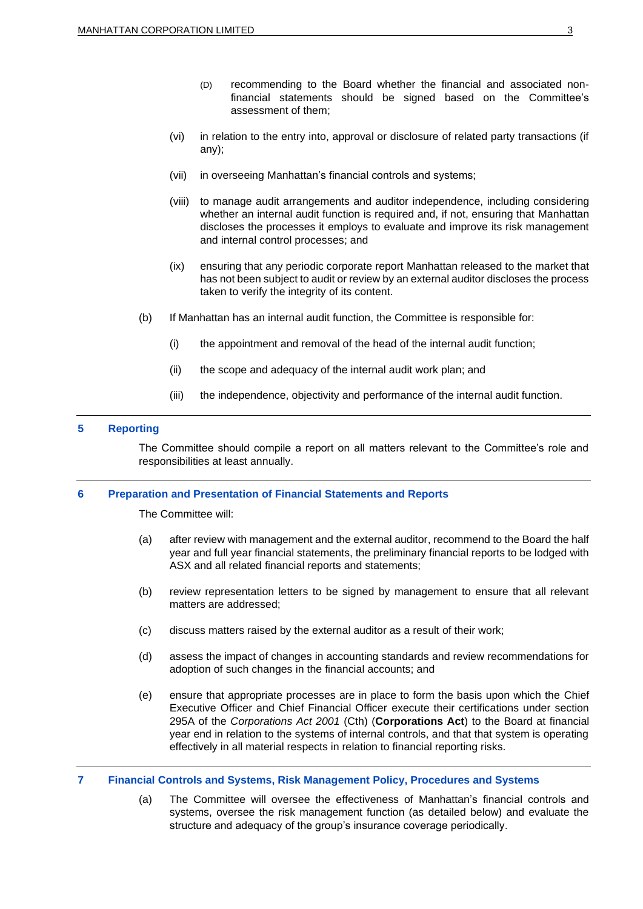- (D) recommending to the Board whether the financial and associated nonfinancial statements should be signed based on the Committee's assessment of them;
- (vi) in relation to the entry into, approval or disclosure of related party transactions (if any);
- (vii) in overseeing Manhattan's financial controls and systems;
- (viii) to manage audit arrangements and auditor independence, including considering whether an internal audit function is required and, if not, ensuring that Manhattan discloses the processes it employs to evaluate and improve its risk management and internal control processes; and
- (ix) ensuring that any periodic corporate report Manhattan released to the market that has not been subject to audit or review by an external auditor discloses the process taken to verify the integrity of its content.
- (b) If Manhattan has an internal audit function, the Committee is responsible for:
	- (i) the appointment and removal of the head of the internal audit function;
	- (ii) the scope and adequacy of the internal audit work plan; and
	- (iii) the independence, objectivity and performance of the internal audit function.

# **5 Reporting**

The Committee should compile a report on all matters relevant to the Committee's role and responsibilities at least annually.

## **6 Preparation and Presentation of Financial Statements and Reports**

The Committee will:

- (a) after review with management and the external auditor, recommend to the Board the half year and full year financial statements, the preliminary financial reports to be lodged with ASX and all related financial reports and statements;
- (b) review representation letters to be signed by management to ensure that all relevant matters are addressed;
- (c) discuss matters raised by the external auditor as a result of their work;
- (d) assess the impact of changes in accounting standards and review recommendations for adoption of such changes in the financial accounts; and
- (e) ensure that appropriate processes are in place to form the basis upon which the Chief Executive Officer and Chief Financial Officer execute their certifications under section 295A of the *Corporations Act 2001* (Cth) (**Corporations Act**) to the Board at financial year end in relation to the systems of internal controls, and that that system is operating effectively in all material respects in relation to financial reporting risks.

## **7 Financial Controls and Systems, Risk Management Policy, Procedures and Systems**

(a) The Committee will oversee the effectiveness of Manhattan's financial controls and systems, oversee the risk management function (as detailed below) and evaluate the structure and adequacy of the group's insurance coverage periodically.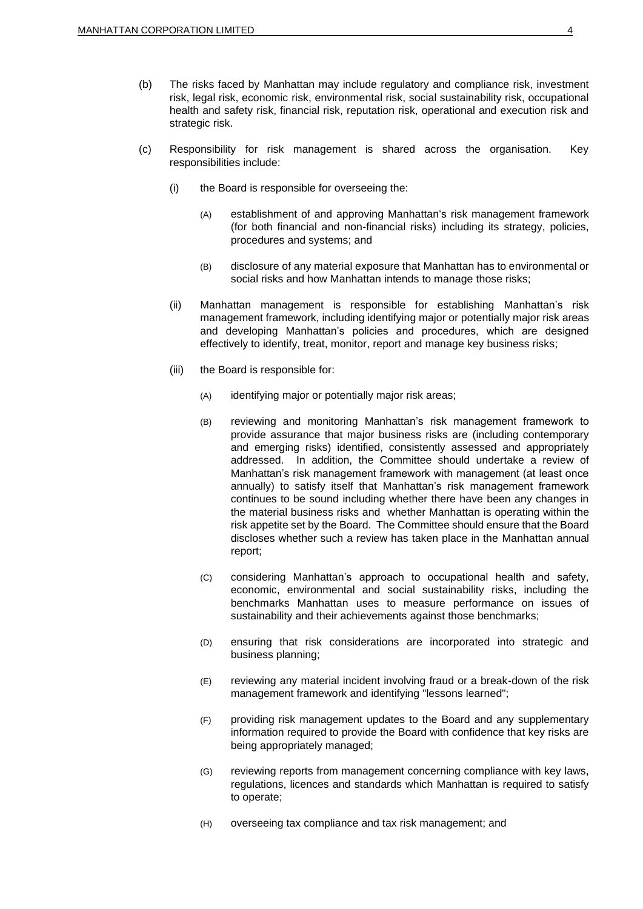- (b) The risks faced by Manhattan may include regulatory and compliance risk, investment risk, legal risk, economic risk, environmental risk, social sustainability risk, occupational health and safety risk, financial risk, reputation risk, operational and execution risk and strategic risk.
- (c) Responsibility for risk management is shared across the organisation. Key responsibilities include:
	- (i) the Board is responsible for overseeing the:
		- (A) establishment of and approving Manhattan's risk management framework (for both financial and non-financial risks) including its strategy, policies, procedures and systems; and
		- (B) disclosure of any material exposure that Manhattan has to environmental or social risks and how Manhattan intends to manage those risks;
	- (ii) Manhattan management is responsible for establishing Manhattan's risk management framework, including identifying major or potentially major risk areas and developing Manhattan's policies and procedures, which are designed effectively to identify, treat, monitor, report and manage key business risks;
	- (iii) the Board is responsible for:
		- (A) identifying major or potentially major risk areas;
		- (B) reviewing and monitoring Manhattan's risk management framework to provide assurance that major business risks are (including contemporary and emerging risks) identified, consistently assessed and appropriately addressed. In addition, the Committee should undertake a review of Manhattan's risk management framework with management (at least once annually) to satisfy itself that Manhattan's risk management framework continues to be sound including whether there have been any changes in the material business risks and whether Manhattan is operating within the risk appetite set by the Board. The Committee should ensure that the Board discloses whether such a review has taken place in the Manhattan annual report;
		- (C) considering Manhattan's approach to occupational health and safety, economic, environmental and social sustainability risks, including the benchmarks Manhattan uses to measure performance on issues of sustainability and their achievements against those benchmarks;
		- (D) ensuring that risk considerations are incorporated into strategic and business planning;
		- (E) reviewing any material incident involving fraud or a break-down of the risk management framework and identifying "lessons learned";
		- (F) providing risk management updates to the Board and any supplementary information required to provide the Board with confidence that key risks are being appropriately managed;
		- (G) reviewing reports from management concerning compliance with key laws, regulations, licences and standards which Manhattan is required to satisfy to operate;
		- (H) overseeing tax compliance and tax risk management; and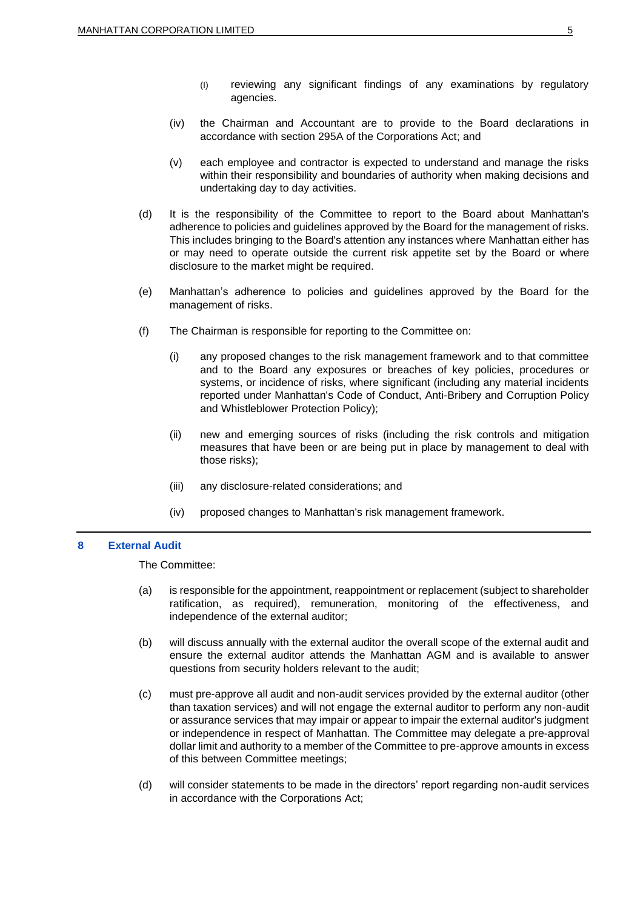- (I) reviewing any significant findings of any examinations by regulatory agencies.
- (iv) the Chairman and Accountant are to provide to the Board declarations in accordance with section 295A of the Corporations Act; and
- (v) each employee and contractor is expected to understand and manage the risks within their responsibility and boundaries of authority when making decisions and undertaking day to day activities.
- (d) It is the responsibility of the Committee to report to the Board about Manhattan's adherence to policies and guidelines approved by the Board for the management of risks. This includes bringing to the Board's attention any instances where Manhattan either has or may need to operate outside the current risk appetite set by the Board or where disclosure to the market might be required.
- (e) Manhattan's adherence to policies and guidelines approved by the Board for the management of risks.
- (f) The Chairman is responsible for reporting to the Committee on:
	- (i) any proposed changes to the risk management framework and to that committee and to the Board any exposures or breaches of key policies, procedures or systems, or incidence of risks, where significant (including any material incidents reported under Manhattan's Code of Conduct, Anti-Bribery and Corruption Policy and Whistleblower Protection Policy);
	- (ii) new and emerging sources of risks (including the risk controls and mitigation measures that have been or are being put in place by management to deal with those risks);
	- (iii) any disclosure-related considerations; and
	- (iv) proposed changes to Manhattan's risk management framework.

## **8 External Audit**

The Committee:

- (a) is responsible for the appointment, reappointment or replacement (subject to shareholder ratification, as required), remuneration, monitoring of the effectiveness, and independence of the external auditor;
- (b) will discuss annually with the external auditor the overall scope of the external audit and ensure the external auditor attends the Manhattan AGM and is available to answer questions from security holders relevant to the audit;
- (c) must pre-approve all audit and non-audit services provided by the external auditor (other than taxation services) and will not engage the external auditor to perform any non-audit or assurance services that may impair or appear to impair the external auditor's judgment or independence in respect of Manhattan. The Committee may delegate a pre-approval dollar limit and authority to a member of the Committee to pre-approve amounts in excess of this between Committee meetings;
- (d) will consider statements to be made in the directors' report regarding non-audit services in accordance with the Corporations Act;